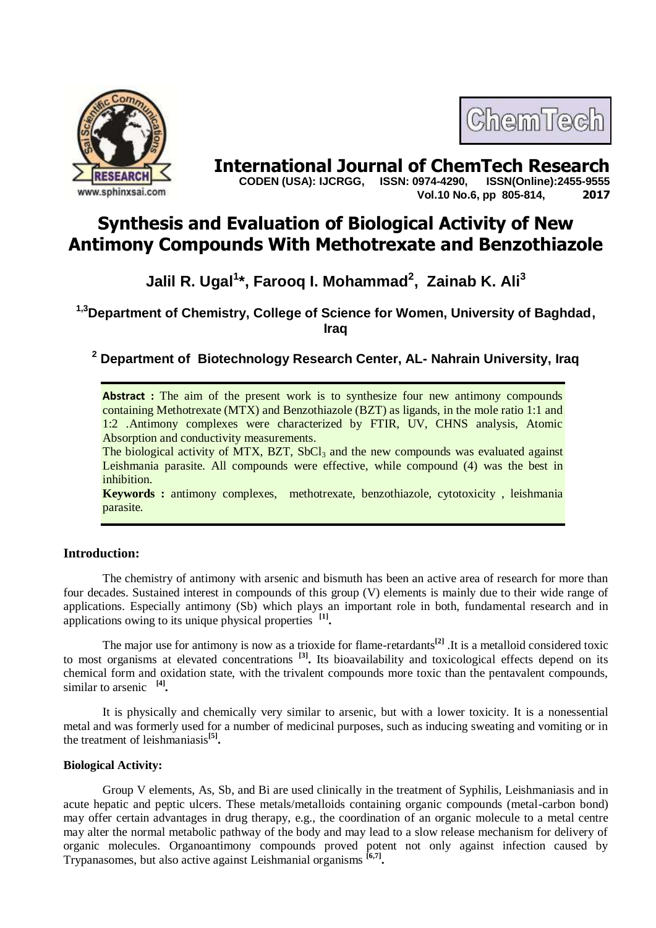



**International Journal of ChemTech Research CODEN (USA): IJCRGG. ISSN: 0974-4290. ISSN(Online):2455-9555 CODEN (USA): IJCRGG, ISSN: 0974-4290, Vol.10 No.6, pp 805-814, 2017**

# **Synthesis and Evaluation of Biological Activity of New Antimony Compounds With Methotrexate and Benzothiazole**

**Jalil R. Ugal<sup>1</sup> \*, Farooq I. Mohammad<sup>2</sup> , Zainab K. Ali<sup>3</sup>**

**1,3Department of Chemistry, College of Science for Women, University of Baghdad, Iraq**

**<sup>2</sup> Department of Biotechnology Research Center, AL- Nahrain University, Iraq**

**Abstract**: The aim of the present work is to synthesize four new antimony compounds containing Methotrexate (MTX) and Benzothiazole (BZT) as ligands, in the mole ratio 1:1 and 1:2 .Antimony complexes were characterized by FTIR, UV, CHNS analysis, Atomic Absorption and conductivity measurements.

The biological activity of MTX, BZT,  $SbCl<sub>3</sub>$  and the new compounds was evaluated against Leishmania parasite. All compounds were effective, while compound (4) was the best in inhibition.

**Keywords :** antimony complexes, methotrexate, benzothiazole, cytotoxicity , leishmania parasite.

# **Introduction:**

The chemistry of antimony with arsenic and bismuth has been an active area of research for more than four decades. Sustained interest in compounds of this group (V) elements is mainly due to their wide range of applications. Especially antimony (Sb) which plays an important role in both, fundamental research and in applications owing to its unique physical properties **[1] .**

The major use for antimony is now as a trioxide for flame-retardants**[2]** .It is a metalloid considered toxic to most organisms at elevated concentrations **[3] .** Its bioavailability and toxicological effects depend on its chemical form and oxidation state, with the trivalent compounds more toxic than the pentavalent compounds, similar to arsenic **[4] .**

It is physically and chemically very similar to arsenic, but with a lower toxicity. It is a nonessential metal and was formerly used for a number of medicinal purposes, such as inducing sweating and vomiting or in the treatment of leishmaniasis**[5] .**

## **Biological Activity:**

Group V elements, As, Sb, and Bi are used clinically in the treatment of Syphilis, Leishmaniasis and in acute hepatic and peptic ulcers. These metals/metalloids containing organic compounds (metal-carbon bond) may offer certain advantages in drug therapy, e.g., the coordination of an organic molecule to a metal centre may alter the normal metabolic pathway of the body and may lead to a slow release mechanism for delivery of organic molecules. Organoantimony compounds proved potent not only against infection caused by Trypanasomes, but also active against Leishmanial organisms **[6,7] .**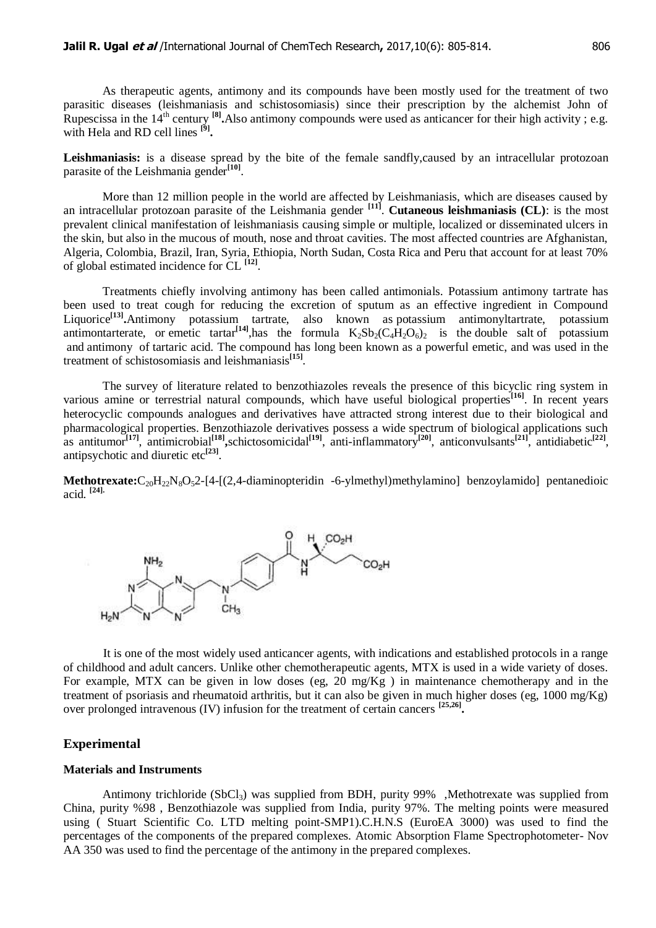As therapeutic agents, antimony and its compounds have been mostly used for the treatment of two parasitic diseases (leishmaniasis and schistosomiasis) since their prescription by the alchemist John of Rupescissa in the 14<sup>th</sup> century <sup>[8]</sup>. Also antimony compounds were used as anticancer for their high activity; e.g. with Hela and RD cell lines **[9] .**

Leishmaniasis: is a disease spread by the bite of the female sandfly, caused by an intracellular protozoan parasite of the Leishmania gender<sup>[10]</sup>.

More than 12 million people in the world are affected by Leishmaniasis, which are diseases caused by an intracellular protozoan parasite of the Leishmania gender **[11]** . **Cutaneous leishmaniasis (CL)**: is the most prevalent clinical manifestation of leishmaniasis causing simple or multiple, localized or disseminated ulcers in the skin, but also in the mucous of mouth, nose and throat cavities. The most affected countries are Afghanistan, Algeria, Colombia, Brazil, Iran, Syria, Ethiopia, North Sudan, Costa Rica and Peru that account for at least 70% of global estimated incidence for CL **[12]** .

Treatments chiefly involving antimony has been called antimonials. Potassium antimony tartrate has been used to treat cough for reducing the excretion of sputum as an effective ingredient in Compound Liquorice**[13] .**Antimony potassium tartrate, also known as potassium antimonyltartrate, potassium antimontarterate, or emetic tartar<sup>[14]</sup>,has the formula  $K_2Sb_2(C_4H_2O_6)_2$  is the [double salt](https://en.wikipedia.org/wiki/Double_salt) of [potassium](https://en.wikipedia.org/wiki/Potassium) and [antimony](https://en.wikipedia.org/wiki/Antimony) of [tartaric acid.](https://en.wikipedia.org/wiki/Tartaric_acid) The compound has long been known as a powerful [emetic,](https://en.wikipedia.org/wiki/Emetic) and was used in the treatment of [schistosomiasis](https://en.wikipedia.org/wiki/Schistosomiasis) and [leishmaniasis](https://en.wikipedia.org/wiki/Leishmaniasis)**[15]** .

The survey of literature related to benzothiazoles reveals the presence of this bicyclic ring system in various amine or terrestrial natural compounds, which have useful biological properties<sup>[16]</sup>. In recent years heterocyclic compounds analogues and derivatives have attracted strong interest due to their biological and pharmacological properties. Benzothiazole derivatives possess a wide spectrum of biological applications such as antitumor<sup>[17]</sup>, antimicrobial<sup>[18]</sup>,schictosomicidal<sup>[19]</sup>, anti-inflammatory<sup>[20]</sup>, anticonvulsants<sup>[21]</sup>, antidiabetic<sup>[22]</sup>, antipsychotic and diuretic etc<sup>[23]</sup>.

**Methotrexate:**C<sub>20</sub>H<sub>22</sub>N<sub>8</sub>O<sub>5</sub>2-[4-[(2,4-diaminopteridin -6-ylmethyl)methylamino] benzoylamido] pentanedioic acid. **[24].**



It is one of the most widely used anticancer agents, with indications and established protocols in a range of childhood and adult cancers. Unlike other chemotherapeutic agents, MTX is used in a wide variety of doses. For example, MTX can be given in low doses (eg,  $20 \text{ mg/Kg}$ ) in maintenance chemotherapy and in the treatment of psoriasis and rheumatoid arthritis, but it can also be given in much higher doses (eg, 1000 mg/Kg) over prolonged intravenous (IV) infusion for the treatment of certain cancers **[25,26] .**

## **Experimental**

#### **Materials and Instruments**

Antimony trichloride (SbCl<sub>3</sub>) was supplied from BDH, purity 99% ,Methotrexate was supplied from China, purity %98 , Benzothiazole was supplied from India, purity 97%. The melting points were measured using ( Stuart Scientific Co. LTD melting point-SMP1).C.H.N.S (EuroEA 3000) was used to find the percentages of the components of the prepared complexes. Atomic Absorption Flame Spectrophotometer- Nov AA 350 was used to find the percentage of the antimony in the prepared complexes.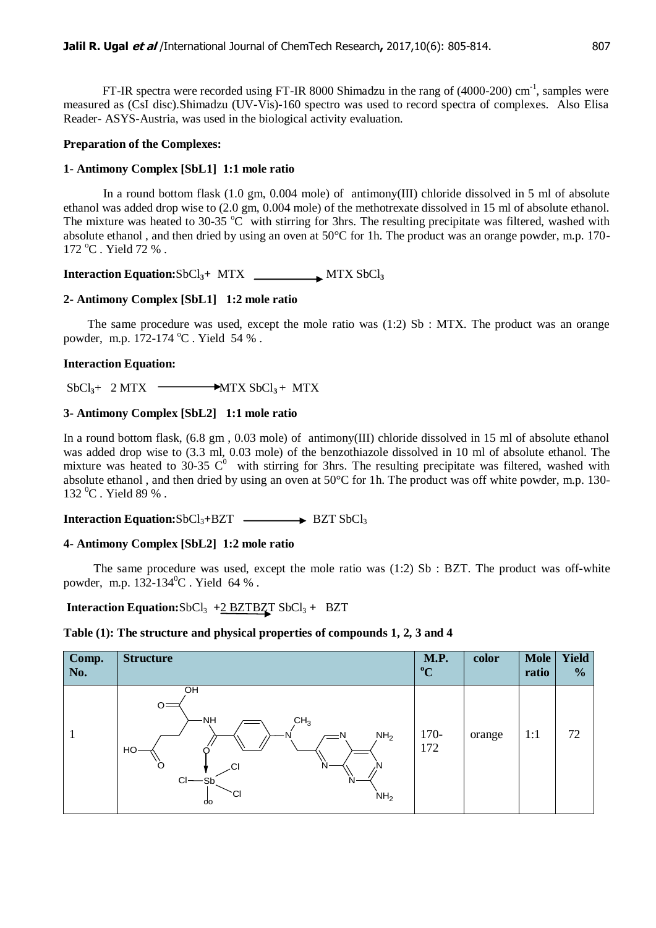FT-IR spectra were recorded using FT-IR 8000 Shimadzu in the rang of (4000-200) cm<sup>-1</sup>, samples were measured as (CsI disc).Shimadzu (UV-Vis)-160 spectro was used to record spectra of complexes. Also Elisa Reader- ASYS-Austria, was used in the biological activity evaluation.

## **Preparation of the Complexes:**

## **1- Antimony Complex [SbL1] 1:1 mole ratio**

In a round bottom flask (1.0 gm, 0.004 mole) of antimony(III) chloride dissolved in 5 ml of absolute ethanol was added drop wise to (2.0 gm, 0.004 mole) of the methotrexate dissolved in 15 ml of absolute ethanol. The mixture was heated to 30-35  $^{\circ}$ C with stirring for 3hrs. The resulting precipitate was filtered, washed with absolute ethanol, and then dried by using an oven at  $50^{\circ}$ C for 1h. The product was an orange powder, m.p. 170- $172 \text{ °C}$ . Yield 72 %.

**Interaction Equation:**SbCl**3+** MTX MTX SbCl**<sup>3</sup>**

# **2- Antimony Complex [SbL1] 1:2 mole ratio**

The same procedure was used, except the mole ratio was  $(1:2)$  Sb : MTX. The product was an orange powder, m.p. 172-174 °C. Yield 54 %.

## **Interaction Equation:**

 $SbCl<sub>3</sub>+ 2 MTX \longrightarrow MTX SbCl<sub>3</sub> + MTX$ 

## **3- Antimony Complex [SbL2] 1:1 mole ratio**

In a round bottom flask, (6.8 gm , 0.03 mole) of antimony(III) chloride dissolved in 15 ml of absolute ethanol was added drop wise to (3.3 ml, 0.03 mole) of the benzothiazole dissolved in 10 ml of absolute ethanol. The mixture was heated to 30-35  $C^0$  with stirring for 3hrs. The resulting precipitate was filtered, washed with absolute ethanol , and then dried by using an oven at 50°C for 1h. The product was off white powder, m.p. 130- 132 °C. Yield 89 %.

**Interaction Equation:SbCl<sub>3</sub>+BZT → BZT SbCl<sub>3</sub>** 

# **4- Antimony Complex [SbL2] 1:2 mole ratio**

The same procedure was used, except the mole ratio was  $(1:2)$  Sb : BZT. The product was off-white powder, m.p. 132-134 <sup>0</sup>C . Yield 64 % .

# **Interaction Equation:**SbCl3 *+*2 BZTBZT SbCl<sup>3</sup> *+* BZT

## **Table (1): The structure and physical properties of compounds 1, 2, 3 and 4**

| Comp.<br>No. | <b>Structure</b>                                                                                                                  | <b>M.P.</b><br>$\rm ^{o}C$ | color  | <b>Mole</b><br>ratio | <b>Yield</b><br>$\frac{1}{2}$ |
|--------------|-----------------------------------------------------------------------------------------------------------------------------------|----------------------------|--------|----------------------|-------------------------------|
|              | OH<br>O<br>ΝH<br>CH <sub>3</sub><br>NH <sub>2</sub><br>HO<br>O<br>CI<br>N<br>۸N<br>$Cl$ $-Sb$<br>N<br>СI<br>NH <sub>2</sub><br>do | $170-$<br>172              | orange | 1:1                  | 72                            |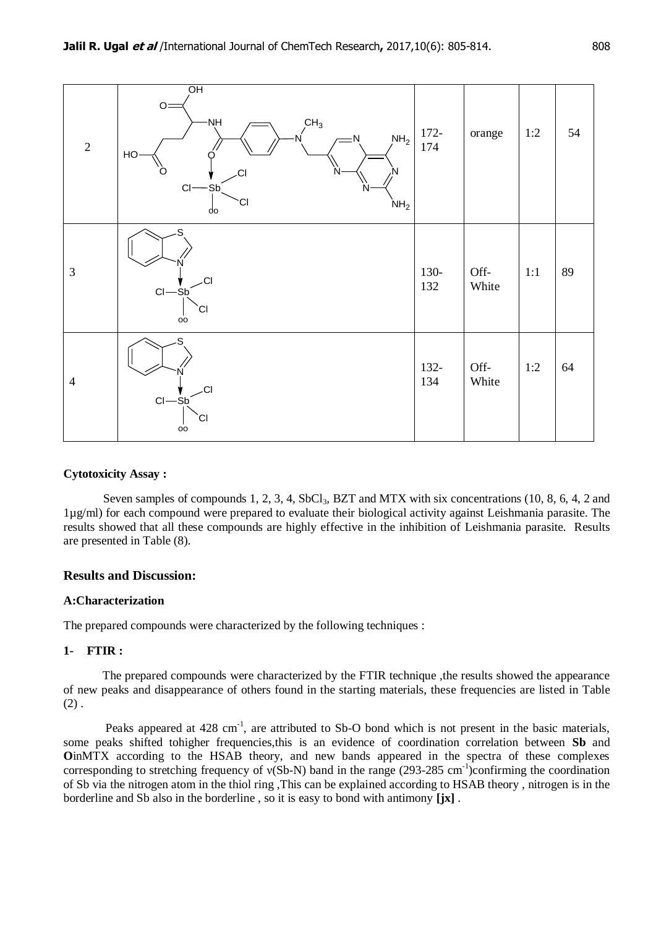

## **Cytotoxicity Assay :**

Seven samples of compounds 1, 2, 3, 4, SbCl<sub>3</sub>, BZT and MTX with six concentrations (10, 8, 6, 4, 2 and 1µg/ml) for each compound were prepared to evaluate their biological activity against Leishmania parasite. The results showed that all these compounds are highly effective in the inhibition of Leishmania parasite. Results are presented in Table (8).

## **Results and Discussion:**

## **A:Characterization**

The prepared compounds were characterized by the following techniques :

## **1- FTIR :**

The prepared compounds were characterized by the FTIR technique ,the results showed the appearance of new peaks and disappearance of others found in the starting materials, these frequencies are listed in Table  $(2)$ .

Peaks appeared at  $428 \text{ cm}^{-1}$ , are attributed to Sb-O bond which is not present in the basic materials, some peaks shifted tohigher frequencies,this is an evidence of coordination correlation between **Sb** and **OInMTX** according to the HSAB theory, and new bands appeared in the spectra of these complexes corresponding to stretching frequency of  $v(Sb-N)$  band in the range (293-285 cm<sup>-1</sup>)confirming the coordination of Sb via the nitrogen atom in the thiol ring ,This can be explained according to HSAB theory , nitrogen is in the borderline and Sb also in the borderline , so it is easy to bond with antimony **[jx]** .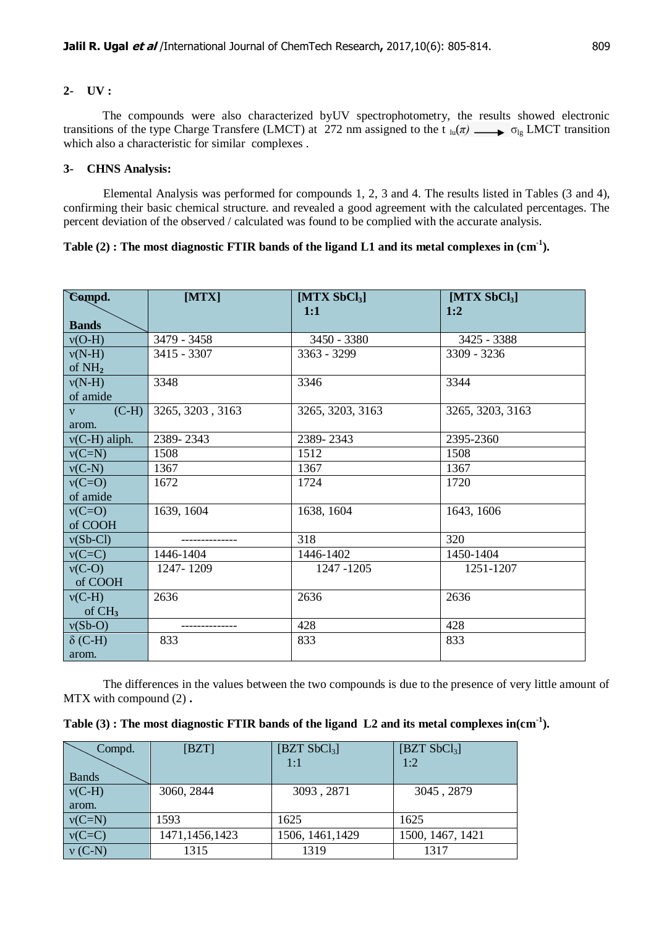## **2- UV :**

The compounds were also characterized byUV spectrophotometry, the results showed electronic transitions of the type Charge Transfere (LMCT) at 272 nm assigned to the t  $_{lu}(\pi) \longrightarrow \sigma_{le}$  LMCT transition which also a characteristic for similar complexes .

#### **3- CHNS Analysis:**

Elemental Analysis was performed for compounds 1, 2, 3 and 4. The results listed in Tables (3 and 4), confirming their basic chemical structure. and revealed a good agreement with the calculated percentages. The percent deviation of the observed / calculated was found to be complied with the accurate analysis.

## **Table (2) : The most diagnostic FTIR bands of the ligand L1 and its metal complexes in (cm-1 ).**

| Compd.                  | [MTX]            | [ $MTX$ SbCl <sub>3</sub> ]<br>1:1 | [ $MTX$ SbCl <sub>3</sub> ]<br>1:2 |
|-------------------------|------------------|------------------------------------|------------------------------------|
| <b>Bands</b>            |                  |                                    |                                    |
| $v(O-H)$                | 3479 - 3458      | 3450 - 3380                        | 3425 - 3388                        |
| $v(N-H)$                | 3415 - 3307      | $3363 - 3299$                      | $3309 - 3236$                      |
| of $NH2$                |                  |                                    |                                    |
| $v(N-H)$                | 3348             | 3346                               | 3344                               |
| of amide                |                  |                                    |                                    |
| $(C-H)$<br>$\mathbf{v}$ | 3265, 3203, 3163 | 3265, 3203, 3163                   | 3265, 3203, 3163                   |
| arom.                   |                  |                                    |                                    |
| $v(C-H)$ aliph.         | 2389-2343        | 2389-2343                          | 2395-2360                          |
| $v(C=N)$                | 1508             | 1512                               | 1508                               |
| $v(C-N)$                | 1367             | 1367                               | 1367                               |
| $v(C=O)$                | 1672             | 1724                               | 1720                               |
| of amide                |                  |                                    |                                    |
| $v(C=O)$                | 1639, 1604       | 1638, 1604                         | 1643, 1606                         |
| of COOH                 |                  |                                    |                                    |
| $v(Sb-Cl)$              |                  | 318                                | 320                                |
| $v(C=C)$                | 1446-1404        | 1446-1402                          | 1450-1404                          |
| $v(C-O)$                | 1247-1209        | 1247 - 1205                        | 1251-1207                          |
| of COOH                 |                  |                                    |                                    |
| $v(C-H)$                | 2636             | 2636                               | 2636                               |
| of $CH3$                |                  |                                    |                                    |
| $v(Sb-O)$               |                  | 428                                | 428                                |
| $\delta$ (C-H)          | 833              | 833                                | 833                                |
| arom.                   |                  |                                    |                                    |

The differences in the values between the two compounds is due to the presence of very little amount of MTX with compound (2) **.**

| Compd.       | [BZT]          | [BZT SbCl <sub>3</sub> ] | [BZT SbCl <sub>3</sub> ] |
|--------------|----------------|--------------------------|--------------------------|
|              |                | 1:1                      | 1:2                      |
| <b>Bands</b> |                |                          |                          |
| $v(C-H)$     | 3060, 2844     | 3093, 2871               | 3045, 2879               |
| arom.        |                |                          |                          |
| $v(C=N)$     | 1593           | 1625                     | 1625                     |
| $v(C=C)$     | 1471,1456,1423 | 1506, 1461, 1429         | 1500, 1467, 1421         |
| $v$ (C-N)    | 1315           | 1319                     | 1317                     |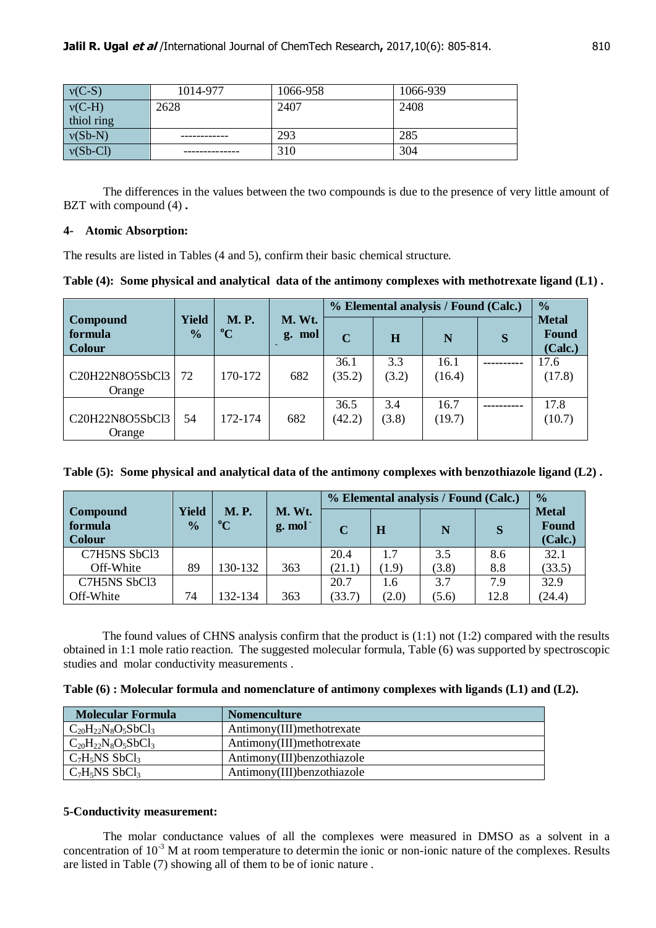| $v(C-S)$   | 1014-977 | 1066-958 | 1066-939 |
|------------|----------|----------|----------|
| $v(C-H)$   | 2628     | 2407     | 2408     |
| thiol ring |          |          |          |
| $v(Sb-N)$  |          | 293      | 285      |
| $v(Sb-Cl)$ |          | 310      | 304      |

The differences in the values between the two compounds is due to the presence of very little amount of BZT with compound (4) **.**

## **4- Atomic Absorption:**

The results are listed in Tables (4 and 5), confirm their basic chemical structure.

**Table (4): Some physical and analytical data of the antimony complexes with methotrexate ligand (L1) .**

|                                      |                        |                            |                  |                |              | % Elemental analysis / Found (Calc.) | $\frac{0}{0}$                           |
|--------------------------------------|------------------------|----------------------------|------------------|----------------|--------------|--------------------------------------|-----------------------------------------|
| Compound<br>formula<br><b>Colour</b> | Yield<br>$\frac{0}{0}$ | <b>M.P.</b><br>$\rm ^{o}C$ | M. Wt.<br>g. mol | $\mathbf C$    | $\bf{H}$     | N                                    | <b>Metal</b><br><b>Found</b><br>(Calc.) |
| C20H22N8O5SbCl3<br>Orange            | 72                     | 170-172                    | 682              | 36.1<br>(35.2) | 3.3<br>(3.2) | 16.1<br>(16.4)                       | 17.6<br>(17.8)                          |
| C20H22N8O5SbCl3<br>Orange            | 54                     | 172-174                    | 682              | 36.5<br>(42.2) | 3.4<br>(3.8) | 16.7<br>(19.7)                       | 17.8<br>(10.7)                          |

| Table (5): Some physical and analytical data of the antimony complexes with benzothiazole ligand (L2). |  |  |  |
|--------------------------------------------------------------------------------------------------------|--|--|--|
|                                                                                                        |  |  |  |

|                                             |                        |                            |                               |             |       | % Elemental analysis / Found (Calc.) |      | $\frac{0}{0}$                    |
|---------------------------------------------|------------------------|----------------------------|-------------------------------|-------------|-------|--------------------------------------|------|----------------------------------|
| <b>Compound</b><br>formula<br><b>Colour</b> | Yield<br>$\frac{0}{0}$ | <b>M.P.</b><br>$\rm ^{o}C$ | M. Wt.<br>g. mol <sup>-</sup> | $\mathbf C$ | Н     | N                                    | S    | <b>Metal</b><br>Found<br>(Calc.) |
| C7H5NS SbCl3                                |                        |                            |                               | 20.4        | 1.7   | 3.5                                  | 8.6  | 32.1                             |
| Off-White                                   | 89                     | 130-132                    | 363                           | (21.1)      | (1.9) | (3.8)                                | 8.8  | (33.5)                           |
| C7H5NS SbCl3                                |                        |                            |                               | 20.7        | 1.6   | 3.7                                  | 7.9  | 32.9                             |
| Off-White                                   | 74                     | 132-134                    | 363                           | (33.7)      | (2.0) | (5.6)                                | 12.8 | (24.4)                           |

The found values of CHNS analysis confirm that the product is (1:1) not (1:2) compared with the results obtained in 1:1 mole ratio reaction. The suggested molecular formula, Table (6) was supported by spectroscopic studies and molar conductivity measurements .

**Table (6) : Molecular formula and nomenclature of antimony complexes with ligands (L1) and (L2).**

| <b>Molecular Formula</b>     | <b>Nomenculture</b>         |
|------------------------------|-----------------------------|
| $C_{20}H_{22}N_8O_5SbCl_3$   | Antimony(III) methotrexate  |
| $C_{20}H_{22}N_8O_5SbCl_3$   | Antimony(III) methotrexate  |
| $C_7H_5NS$ SbCl <sub>3</sub> | Antimony(III) benzothiazole |
| $C_7H_5NS$ SbCl <sub>3</sub> | Antimony(III) benzothiazole |

## **5-Conductivity measurement:**

The molar conductance values of all the complexes were measured in DMSO as a solvent in a concentration of  $10^{-3}$  M at room temperature to determin the ionic or non-ionic nature of the complexes. Results are listed in Table (7) showing all of them to be of ionic nature .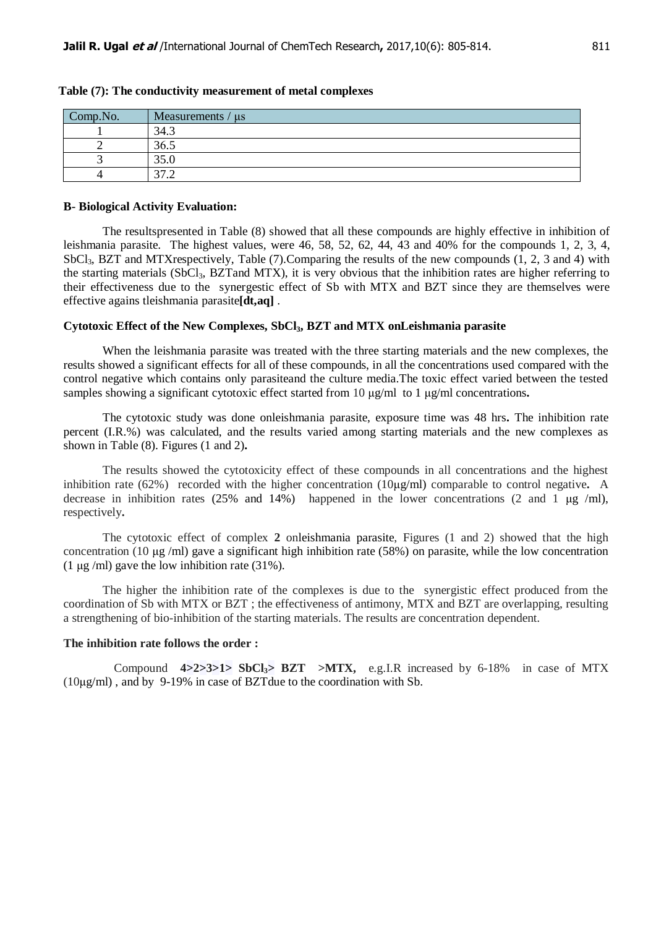| Comp.No. | Measurements $/\mu s$                       |
|----------|---------------------------------------------|
|          | 34.3                                        |
|          | 36.5                                        |
|          | 35.0                                        |
|          | 27 <sub>2</sub><br>$\overline{\phantom{0}}$ |

#### **Table (7): The conductivity measurement of metal complexes**

#### **B- Biological Activity Evaluation:**

The resultspresented in Table (8) showed that all these compounds are highly effective in inhibition of leishmania parasite. The highest values, were 46, 58, 52, 62, 44, 43 and 40% for the compounds 1, 2, 3, 4, SbCl<sub>3</sub>, BZT and MTXrespectively, Table (7). Comparing the results of the new compounds (1, 2, 3 and 4) with the starting materials (SbCl3, BZTand MTX), it is very obvious that the inhibition rates are higher referring to their effectiveness due to the synergestic effect of Sb with MTX and BZT since they are themselves were effective agains tleishmania parasite**[dt,aq]** .

#### **Cytotoxic Effect of the New Complexes, SbCl3, BZT and MTX onLeishmania parasite**

When the leishmania parasite was treated with the three starting materials and the new complexes, the results showed a significant effects for all of these compounds, in all the concentrations used compared with the control negative which contains only parasiteand the culture media.The toxic effect varied between the tested samples showing a significant cytotoxic effect started from 10 μg/ml to 1 μg/ml concentrations**.**

The cytotoxic study was done onleishmania parasite, exposure time was 48 hrs**.** The inhibition rate percent (I.R.%) was calculated, and the results varied among starting materials and the new complexes as shown in Table (8). Figures (1 and 2)**.**

The results showed the cytotoxicity effect of these compounds in all concentrations and the highest inhibition rate (62%) recorded with the higher concentration (10μg/ml) comparable to control negative**.** A decrease in inhibition rates (25% and 14%) happened in the lower concentrations (2 and 1  $\mu$ g /ml), respectively**.**

The cytotoxic effect of complex **2** onleishmania parasite, Figures (1 and 2) showed that the high concentration (10  $\mu$ g /ml) gave a significant high inhibition rate (58%) on parasite, while the low concentration (1  $\mu$ g/ml) gave the low inhibition rate (31%).

The higher the inhibition rate of the complexes is due to the synergistic effect produced from the coordination of Sb with MTX or BZT ; the effectiveness of antimony, MTX and BZT are overlapping, resulting a strengthening of bio-inhibition of the starting materials. The results are concentration dependent.

#### **The inhibition rate follows the order :**

Compound **4>2>3>1> SbCl3> BZT >MTX,** e.g.I.R increased by 6-18% in case of MTX (10μg/ml) , and by 9-19% in case of BZTdue to the coordination with Sb.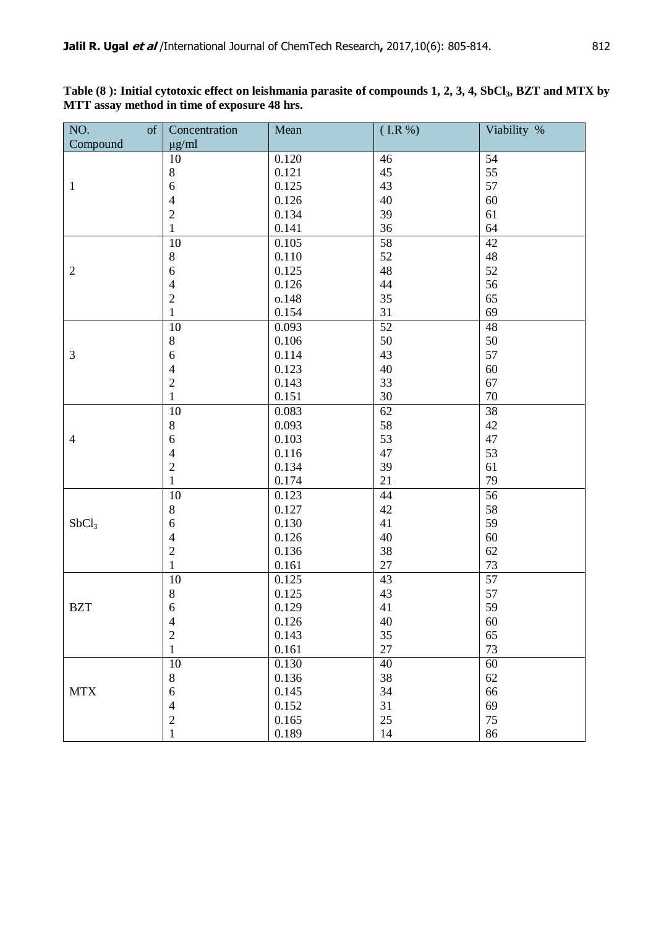| NO.               | of | Concentration   | Mean  | $($ I.R $%$     | Viability %     |
|-------------------|----|-----------------|-------|-----------------|-----------------|
| Compound          |    | $\mu$ g/ml      |       |                 |                 |
|                   |    | 10              | 0.120 | 46              | 54              |
|                   |    | $8\,$           | 0.121 | 45              | 55              |
| $\mathbf{1}$      |    | $\sqrt{6}$      | 0.125 | 43              | 57              |
|                   |    | $\overline{4}$  | 0.126 | 40              | 60              |
|                   |    | $\sqrt{2}$      | 0.134 | 39              | 61              |
|                   |    | $\mathbf{1}$    | 0.141 | 36              | 64              |
|                   |    | $\overline{10}$ | 0.105 | 58              | $\overline{42}$ |
|                   |    | $8\,$           | 0.110 | 52              | 48              |
| $\mathbf{2}$      |    | 6               | 0.125 | 48              | 52              |
|                   |    | $\overline{4}$  | 0.126 | 44              | 56              |
|                   |    | $\mathbf{2}$    | o.148 | 35              | 65              |
|                   |    | 1               | 0.154 | 31              | 69              |
|                   |    | 10              | 0.093 | 52              | 48              |
|                   |    | $8\,$           | 0.106 | 50              | 50              |
| 3                 |    | $\sqrt{6}$      | 0.114 | 43              | 57              |
|                   |    | $\overline{4}$  | 0.123 | 40              | 60              |
|                   |    | $\sqrt{2}$      | 0.143 | 33              | 67              |
|                   |    | $\mathbf{1}$    | 0.151 | 30              | 70              |
|                   |    | 10              | 0.083 | 62              | $\overline{38}$ |
|                   |    | $8\,$           | 0.093 | 58              | 42              |
| $\overline{4}$    |    | $\sqrt{6}$      | 0.103 | 53              | 47              |
|                   |    | $\overline{4}$  | 0.116 | 47              | 53              |
|                   |    | $\overline{2}$  | 0.134 | 39              | 61              |
|                   |    | $\mathbf{1}$    | 0.174 | 21              | 79              |
|                   |    | 10              | 0.123 | 44              | 56              |
|                   |    | $8\,$           | 0.127 | 42              | 58              |
| SbCl <sub>3</sub> |    | $\sqrt{6}$      | 0.130 | 41              | 59              |
|                   |    | $\overline{4}$  | 0.126 | 40              | 60              |
|                   |    | $\sqrt{2}$      | 0.136 | 38              | 62              |
|                   |    | $\mathbf{1}$    | 0.161 | 27              | 73              |
|                   |    | 10              | 0.125 | $\overline{43}$ | $\overline{57}$ |
|                   |    | $8\,$           | 0.125 | 43              | 57              |
| <b>BZT</b>        |    | 6               | 0.129 | 41              | 59              |
|                   |    | $\overline{4}$  | 0.126 | 40              | 60              |
|                   |    | $\overline{2}$  | 0.143 | 35              | 65              |
|                   |    | $\mathbf{1}$    | 0.161 | 27              | 73              |
|                   |    | 10              | 0.130 | 40              | 60              |
|                   |    | $8\,$           | 0.136 | 38              | 62              |
| <b>MTX</b>        |    | 6               | 0.145 | 34              | 66              |
|                   |    | $\overline{4}$  | 0.152 | 31              | 69              |
|                   |    | $\sqrt{2}$      | 0.165 | 25              | 75              |
|                   |    | $\mathbf{1}$    | 0.189 | 14              | 86              |

**Table (8 ): Initial cytotoxic effect on leishmania parasite of compounds 1, 2, 3, 4, SbCl3, BZT and MTX by MTT assay method in time of exposure 48 hrs.**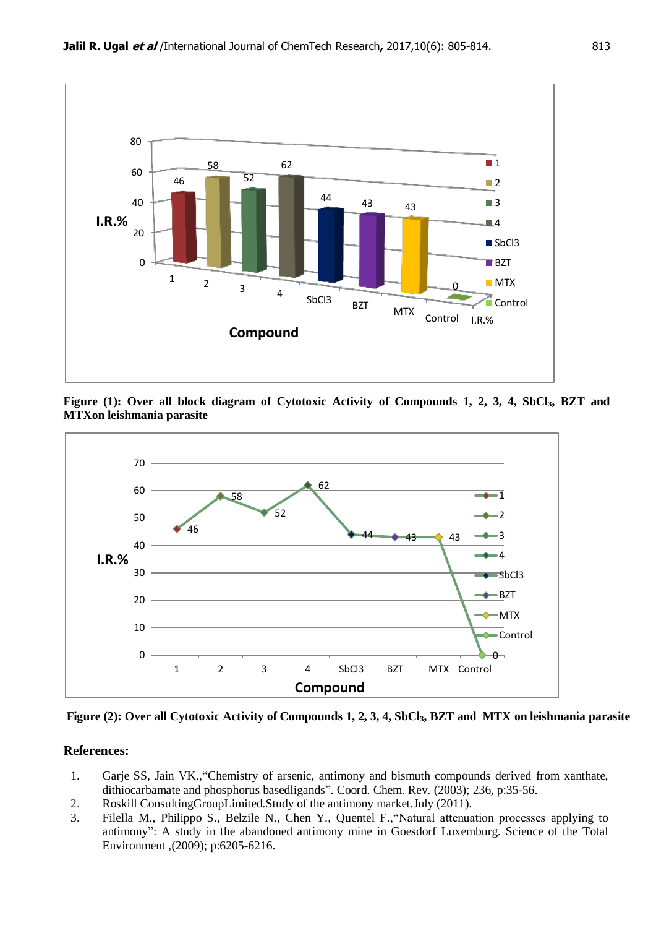

**Figure (1): Over all block diagram of Cytotoxic Activity of Compounds 1, 2, 3, 4, SbCl3, BZT and MTXon leishmania parasite**



**Figure (2): Over all Cytotoxic Activity of Compounds 1, 2, 3, 4, SbCl3, BZT and MTX on leishmania parasite**

# **References:**

- 1. Garje SS, Jain VK.,"Chemistry of arsenic, antimony and bismuth compounds derived from xanthate, dithiocarbamate and phosphorus basedligands". Coord. Chem. Rev. (2003); 236, p:35-56.
- 2. Roskill ConsultingGroupLimited.Study of the antimony market.July (2011).
- 3. Filella M., Philippo S., Belzile N., Chen Y., Quentel F.,"Natural attenuation processes applying to antimony": A study in the abandoned antimony mine in Goesdorf Luxemburg. Science of the Total Environment ,(2009); p:6205-6216.